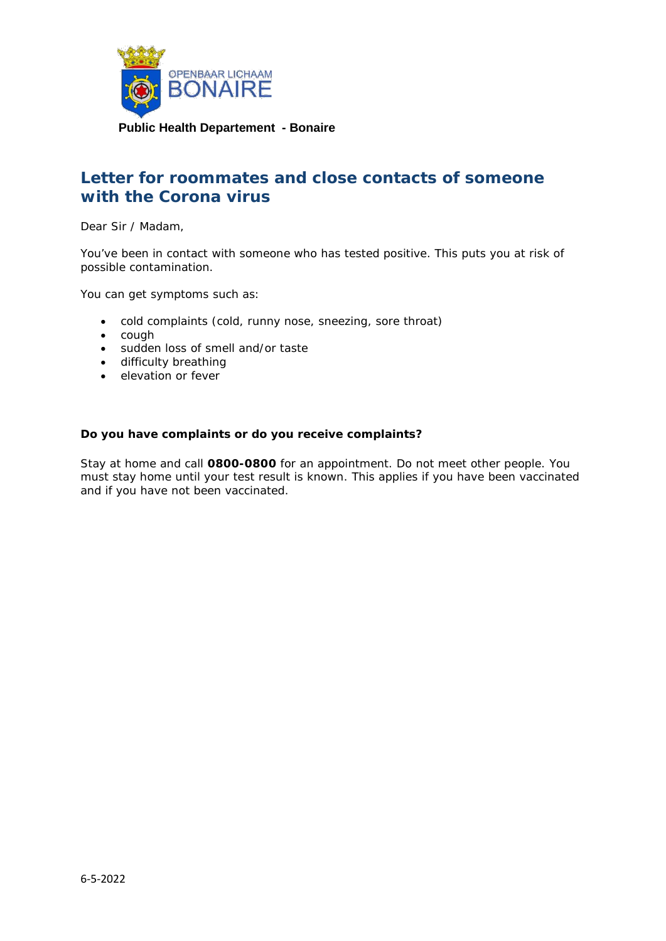

# **Letter for roommates and close contacts of someone with the Corona virus**

Dear Sir / Madam,

You've been in contact with someone who has tested positive. This puts you at risk of possible contamination.

You can get symptoms such as:

- cold complaints (cold, runny nose, sneezing, sore throat)
- cough
- sudden loss of smell and/or taste
- difficulty breathing
- elevation or fever

#### **Do you have complaints or do you receive complaints?**

Stay at home and call **0800-0800** for an appointment. Do not meet other people. You must stay home until your test result is known. This applies if you have been vaccinated and if you have not been vaccinated.